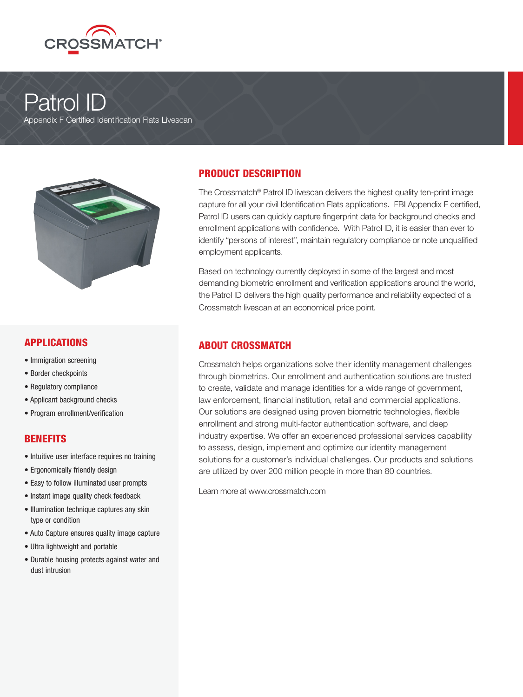

# Patrol ID

Appendix F Certified Identification Flats Livescan



#### APPLICATIONS

- Immigration screening
- Border checkpoints
- Regulatory compliance
- Applicant background checks
- Program enrollment/verification

#### **BENEFITS**

- Intuitive user interface requires no training
- Ergonomically friendly design
- Easy to follow illuminated user prompts
- Instant image quality check feedback
- Illumination technique captures any skin type or condition
- Auto Capture ensures quality image capture
- Ultra lightweight and portable
- Durable housing protects against water and dust intrusion

### PRODUCT DESCRIPTION

The Crossmatch® Patrol ID livescan delivers the highest quality ten-print image capture for all your civil Identification Flats applications. FBI Appendix F certified, Patrol ID users can quickly capture fingerprint data for background checks and enrollment applications with confidence. With Patrol ID, it is easier than ever to identify "persons of interest", maintain regulatory compliance or note unqualified employment applicants.

Based on technology currently deployed in some of the largest and most demanding biometric enrollment and verification applications around the world, the Patrol ID delivers the high quality performance and reliability expected of a Crossmatch livescan at an economical price point.

#### ABOUT CROSSMATCH

Crossmatch helps organizations solve their identity management challenges through biometrics. Our enrollment and authentication solutions are trusted to create, validate and manage identities for a wide range of government, law enforcement, financial institution, retail and commercial applications. Our solutions are designed using proven biometric technologies, flexible enrollment and strong multi-factor authentication software, and deep industry expertise. We offer an experienced professional services capability to assess, design, implement and optimize our identity management solutions for a customer's individual challenges. Our products and solutions are utilized by over 200 million people in more than 80 countries.

Learn more at www.crossmatch.com